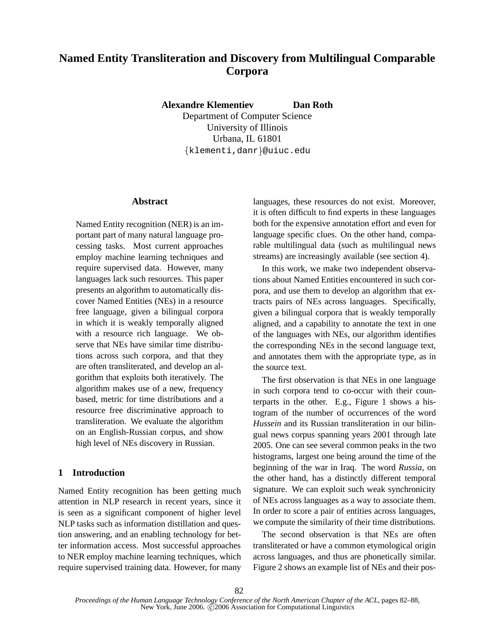# **Named Entity Transliteration and Discovery from Multilingual Comparable Corpora**

**Alexandre Klementiev Dan Roth**

Department of Computer Science University of Illinois Urbana, IL 61801  $\{$ klementi,danr $\}$ @uiuc.edu

### **Abstract**

Named Entity recognition (NER) is an important part of many natural language processing tasks. Most current approaches employ machine learning techniques and require supervised data. However, many languages lack such resources. This paper presents an algorithm to automatically discover Named Entities (NEs) in a resource free language, given a bilingual corpora in which it is weakly temporally aligned with a resource rich language. We observe that NEs have similar time distributions across such corpora, and that they are often transliterated, and develop an algorithm that exploits both iteratively. The algorithm makes use of a new, frequency based, metric for time distributions and a resource free discriminative approach to transliteration. We evaluate the algorithm on an English-Russian corpus, and show high level of NEs discovery in Russian.

# **1 Introduction**

Named Entity recognition has been getting much attention in NLP research in recent years, since it is seen as a significant component of higher level NLP tasks such as information distillation and question answering, and an enabling technology for better information access. Most successful approaches to NER employ machine learning techniques, which require supervised training data. However, for many languages, these resources do not exist. Moreover, it is often difficult to find experts in these languages both for the expensive annotation effort and even for language specific clues. On the other hand, comparable multilingual data (such as multilingual news streams) are increasingly available (see section 4).

In this work, we make two independent observations about Named Entities encountered in such corpora, and use them to develop an algorithm that extracts pairs of NEs across languages. Specifically, given a bilingual corpora that is weakly temporally aligned, and a capability to annotate the text in one of the languages with NEs, our algorithm identifies the corresponding NEs in the second language text, and annotates them with the appropriate type, as in the source text.

The first observation is that NEs in one language in such corpora tend to co-occur with their counterparts in the other. E.g., Figure 1 shows a histogram of the number of occurrences of the word *Hussein* and its Russian transliteration in our bilingual news corpus spanning years 2001 through late 2005. One can see several common peaks in the two histograms, largest one being around the time of the beginning of the war in Iraq. The word *Russia*, on the other hand, has a distinctly different temporal signature. We can exploit such weak synchronicity of NEs across languages as a way to associate them. In order to score a pair of entities across languages, we compute the similarity of their time distributions.

The second observation is that NEs are often transliterated or have a common etymological origin across languages, and thus are phonetically similar. Figure 2 shows an example list of NEs and their pos-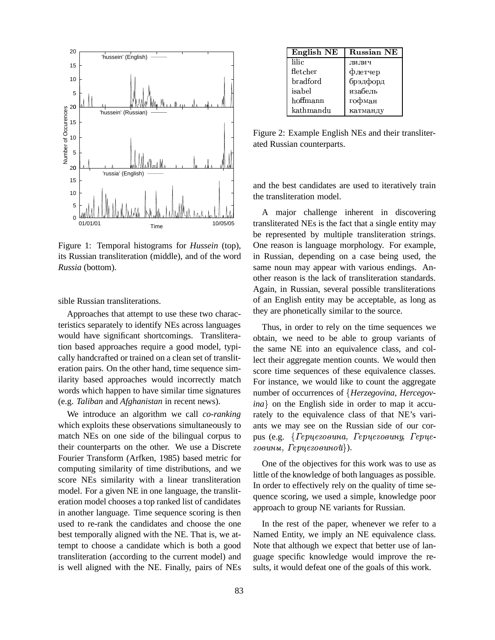

Figure 1: Temporal histograms for *Hussein* (top), its Russian transliteration (middle), and of the word *Russia* (bottom).

sible Russian transliterations.

Approaches that attempt to use these two characteristics separately to identify NEs across languages would have significant shortcomings. Transliteration based approaches require a good model, typically handcrafted or trained on a clean set of transliteration pairs. On the other hand, time sequence similarity based approaches would incorrectly match words which happen to have similar time signatures (e.g. *Taliban* and *Afghanistan* in recent news).

We introduce an algorithm we call *co-ranking* which exploits these observations simultaneously to match NEs on one side of the bilingual corpus to their counterparts on the other. We use a Discrete Fourier Transform (Arfken, 1985) based metric for computing similarity of time distributions, and we score NEs similarity with a linear transliteration model. For a given NE in one language, the transliteration model chooses a top ranked list of candidates in another language. Time sequence scoring is then used to re-rank the candidates and choose the one best temporally aligned with the NE. That is, we attempt to choose a candidate which is both a good transliteration (according to the current model) and is well aligned with the NE. Finally, pairs of NEs

| English NE | <b>Russian NE</b> |
|------------|-------------------|
| lilic      | лилич             |
| fletcher   | флетчер           |
| bradford   | брэдфорд          |
| isabel     | изабель           |
| hoffmann   | гофман            |
| kathmandu  | катманду          |

Figure 2: Example English NEs and their transliterated Russian counterparts.

and the best candidates are used to iteratively train the transliteration model.

A major challenge inherent in discovering transliterated NEs is the fact that a single entity may be represented by multiple transliteration strings. One reason is language morphology. For example, in Russian, depending on a case being used, the same noun may appear with various endings. Another reason is the lack of transliteration standards. Again, in Russian, several possible transliterations of an English entity may be acceptable, as long as they are phonetically similar to the source.

Thus, in order to rely on the time sequences we obtain, we need to be able to group variants of the same NE into an equivalence class, and collect their aggregate mention counts. We would then score time sequences of these equivalence classes. For instance, we would like to count the aggregate number of occurrences of *Herzegovina, Hercegov* $ina$  on the English side in order to map it accurately to the equivalence class of that NE's variants we may see on the Russian side of our corpus (e.g.  ${F<sub>epu</sub>}$ ezoouna,  ${F<sub>epu</sub>}$ ezoouny,  ${F<sub>epu</sub>}$ eговины,  $Tepyee$ овиной}).

One of the objectives for this work was to use as little of the knowledge of both languages as possible. In order to effectively rely on the quality of time sequence scoring, we used a simple, knowledge poor approach to group NE variants for Russian.

In the rest of the paper, whenever we refer to a Named Entity, we imply an NE equivalence class. Note that although we expect that better use of language specific knowledge would improve the results, it would defeat one of the goals of this work.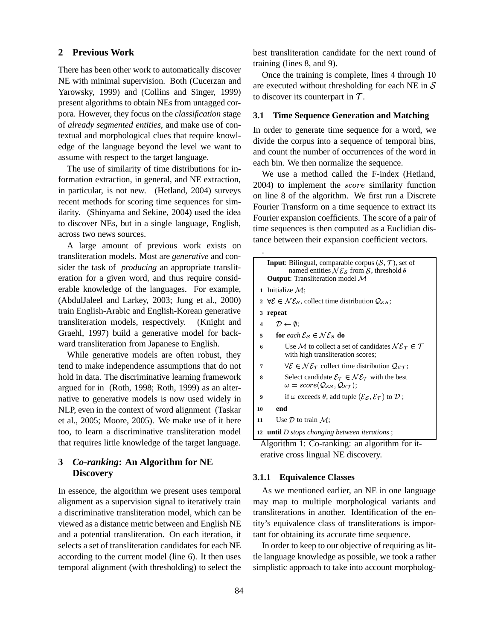## **2 Previous Work**

There has been other work to automatically discover NE with minimal supervision. Both (Cucerzan and Yarowsky, 1999) and (Collins and Singer, 1999) present algorithms to obtain NEs from untagged corpora. However, they focus on the *classification* stage of *already segmented entities*, and make use of contextual and morphological clues that require knowledge of the language beyond the level we want to assume with respect to the target language.

The use of similarity of time distributions for information extraction, in general, and NE extraction, in particular, is not new. (Hetland, 2004) surveys recent methods for scoring time sequences for similarity. (Shinyama and Sekine, 2004) used the idea to discover NEs, but in a single language, English, across two news sources.

A large amount of previous work exists on transliteration models. Most are *generative* and consider the task of *producing* an appropriate transliteration for a given word, and thus require considerable knowledge of the languages. For example, (AbdulJaleel and Larkey, 2003; Jung et al., 2000) train English-Arabic and English-Korean generative transliteration models, respectively. (Knight and Graehl, 1997) build a generative model for backward transliteration from Japanese to English.

While generative models are often robust, they tend to make independence assumptions that do not hold in data. The discriminative learning framework argued for in (Roth, 1998; Roth, 1999) as an alternative to generative models is now used widely in NLP, even in the context of word alignment (Taskar et al., 2005; Moore, 2005). We make use of it here too, to learn a discriminative transliteration model that requires little knowledge of the target language.

# **3** *Co-ranking***: An Algorithm for NE Discovery**

In essence, the algorithm we present uses temporal alignment as a supervision signal to iteratively train a discriminative transliteration model, which can be viewed as a distance metric between and English NE and a potential transliteration. On each iteration, it selects a set of transliteration candidates for each NE according to the current model (line 6). It then uses temporal alignment (with thresholding) to select the best transliteration candidate for the next round of training (lines 8, and 9).

Once the training is complete, lines 4 through 10 are executed without thresholding for each NE in  $S$ to discover its counterpart in  $\mathcal{T}$ .

## **3.1 Time Sequence Generation and Matching**

In order to generate time sequence for a word, we divide the corpus into a sequence of temporal bins, and count the number of occurrences of the word in each bin. We then normalize the sequence.

We use a method called the F-index (Hetland,  $2004$ ) to implement the *score* similarity function on line 8 of the algorithm. We first run a Discrete Fourier Transform on a time sequence to extract its Fourier expansion coefficients. The score of a pair of time sequences is then computed as a Euclidian distance between their expansion coefficient vectors.

|    | <b>Input:</b> Bilingual, comparable corpus $(S, \mathcal{T})$ , set of<br>named entities $N\mathcal{E}_{\mathcal{S}}$ from $\mathcal{S}$ , threshold $\theta$<br><b>Output:</b> Transliteration model $M$ |
|----|-----------------------------------------------------------------------------------------------------------------------------------------------------------------------------------------------------------|
|    | 1 Initialize $\mathcal{M}$ ;                                                                                                                                                                              |
|    | 2 $\forall \mathcal{E} \in \mathcal{NE}_S$ , collect time distribution $\mathcal{Q}_{\mathcal{E} S}$ ;                                                                                                    |
| 3  | repeat                                                                                                                                                                                                    |
| 4  | $\mathcal{D} \leftarrow \emptyset$ :                                                                                                                                                                      |
| 5  | for each $\mathcal{E}_S \in \mathcal{NE}_S$ do                                                                                                                                                            |
| 6  | Use M to collect a set of candidates $N\mathcal{E}_{\tau} \in \mathcal{T}$<br>with high transliteration scores;                                                                                           |
| 7  | $\forall \mathcal{E} \in \mathcal{NE}_{\tau}$ collect time distribution $\mathcal{Q}_{\mathcal{E} \tau}$ ;                                                                                                |
| 8  | Select candidate $\mathcal{E}_{\tau} \in \mathcal{NE}_{\tau}$ with the best<br>$\omega = score(Q_{ES}, Q_{ET});$                                                                                          |
| 9  | if $\omega$ exceeds $\theta$ , add tuple $(\mathcal{E}_{\mathcal{S}}, \mathcal{E}_{\mathcal{T}})$ to $\mathcal{D}$ ;                                                                                      |
| 10 | end                                                                                                                                                                                                       |
| 11 | Use $\mathcal D$ to train $\mathcal M$ :                                                                                                                                                                  |
|    | 12 <b>until</b> D stops changing between iterations;                                                                                                                                                      |
|    | Algorithm $1:$ Co-ranking: an algorithm for it-                                                                                                                                                           |

Algorithm 1: Co-ranking: an algorithm for iterative cross lingual NE discovery.

#### **3.1.1 Equivalence Classes**

As we mentioned earlier, an NE in one language may map to multiple morphological variants and transliterations in another. Identification of the entity's equivalence class of transliterations is important for obtaining its accurate time sequence.

In order to keep to our objective of requiring as little language knowledge as possible, we took a rather simplistic approach to take into account morpholog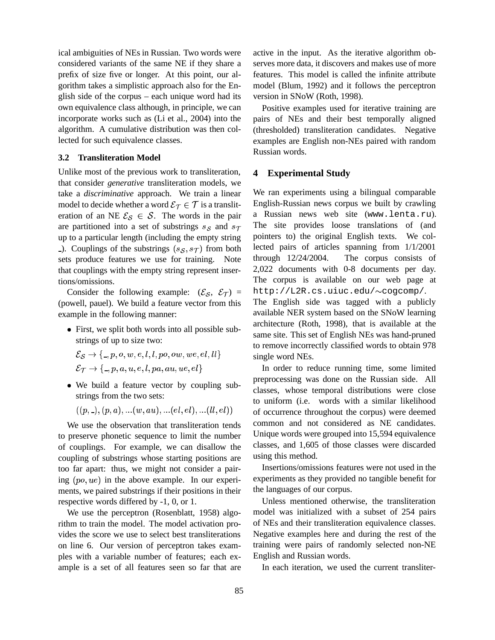ical ambiguities of NEs in Russian. Two words were considered variants of the same NE if they share a prefix of size five or longer. At this point, our algorithm takes a simplistic approach also for the English side of the corpus – each unique word had its own equivalence class although, in principle, we can incorporate works such as (Li et al., 2004) into the algorithm. A cumulative distribution was then collected for such equivalence classes.

#### **3.2 Transliteration Model**

Unlike most of the previous work to transliteration, that consider *generative* transliteration models, we take a *discriminative* approach. We train a linear model to decide whether a word  $\mathcal{E}_{\mathcal{T}} \in \mathcal{T}$  is a translit-  $\;\;\;$  En eration of an NE  $\mathcal{E}_{\mathcal{S}} \in \mathcal{S}$ . The words in the pair are partitioned into a set of substrings  $s_S$  and  $s_T$ . The site up to a particular length (including the empty string ). Couplings of the substrings  $(s_{\mathcal{S}}, s_{\mathcal{T}})$  from both sets produce features we use for training. Note that couplings with the empty string represent insertions/omissions.

Consider the following example:  $({\mathcal{E}}_{\mathcal{S}}, {\mathcal{E}}_{\mathcal{T}})$  = (powell, pauel). We build a feature vector from this example in the following manner:

 First, we split both words into all possible substrings of up to size two:

$$
\mathcal{E}_{\mathcal{S}} \rightarrow \{ \_,p,o,w,e,l,l,po,ow,we,el,ll \}
$$
  

$$
\mathcal{E}_{\mathcal{T}} \rightarrow \{ \_,p,a,u,e,l,pa,au,ue,el \}
$$

 We build a feature vector by coupling substrings from the two sets:

$$
((p, \_, (p, a), \ldots (w, au), \ldots (el, el), \ldots (ll, el))
$$

We use the observation that transliteration tends to preserve phonetic sequence to limit the number of couplings. For example, we can disallow the coupling of substrings whose starting positions are too far apart: thus, we might not consider a pairing  $(po, ue)$  in the above example. In our experiments, we paired substrings if their positions in their respective words differed by -1, 0, or 1.

We use the perceptron (Rosenblatt, 1958) algorithm to train the model. The model activation provides the score we use to select best transliterations on line 6. Our version of perceptron takes examples with a variable number of features; each example is a set of all features seen so far that are active in the input. As the iterative algorithm observes more data, it discovers and makes use of more features. This model is called the infinite attribute model (Blum, 1992) and it follows the perceptron version in SNoW (Roth, 1998).

Positive examples used for iterative training are pairs of NEs and their best temporally aligned (thresholded) transliteration candidates. Negative examples are English non-NEs paired with random Russian words.

## **4 Experimental Study**

We ran experiments using a bilingual comparable English-Russian news corpus we built by crawling a Russian news web site (www.lenta.ru). The site provides loose translations of (and pointers to) the original English texts. We collected pairs of articles spanning from 1/1/2001 through 12/24/2004. The corpus consists of 2,022 documents with 0-8 documents per day. The corpus is available on our web page at http://L2R.cs.uiuc.edu/~cogcomp/. The English side was tagged with a publicly available NER system based on the SNoW learning architecture (Roth, 1998), that is available at the same site. This set of English NEs was hand-pruned to remove incorrectly classified words to obtain 978 single word NEs.

In order to reduce running time, some limited preprocessing was done on the Russian side. All classes, whose temporal distributions were close to uniform (i.e. words with a similar likelihood of occurrence throughout the corpus) were deemed common and not considered as NE candidates. Unique words were grouped into 15,594 equivalence classes, and 1,605 of those classes were discarded using this method.

Insertions/omissions features were not used in the experiments as they provided no tangible benefit for the languages of our corpus.

Unless mentioned otherwise, the transliteration model was initialized with a subset of 254 pairs of NEs and their transliteration equivalence classes. Negative examples here and during the rest of the training were pairs of randomly selected non-NE English and Russian words.

In each iteration, we used the current transliter-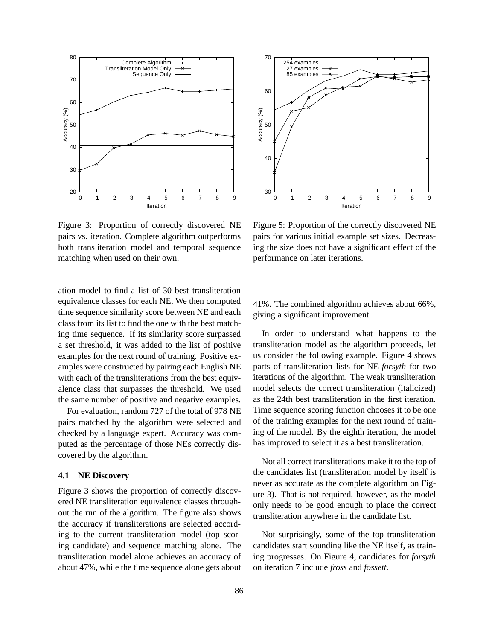

 30 40 Accuracy (%)<br>Sp 60 70 0 1 2 3 4 5 6 7 8 9 Accuracy (%) Iteration 254 examples 127 examples 85 examples

Figure 3: Proportion of correctly discovered NE pairs vs. iteration. Complete algorithm outperforms both transliteration model and temporal sequence matching when used on their own.

ation model to find a list of 30 best transliteration equivalence classes for each NE. We then computed time sequence similarity score between NE and each class from its list to find the one with the best matching time sequence. If its similarity score surpassed a set threshold, it was added to the list of positive examples for the next round of training. Positive examples were constructed by pairing each English NE with each of the transliterations from the best equivalence class that surpasses the threshold. We used the same number of positive and negative examples.

For evaluation, random 727 of the total of 978 NE pairs matched by the algorithm were selected and checked by a language expert. Accuracy was computed as the percentage of those NEs correctly discovered by the algorithm.

## **4.1 NE Discovery**

Figure 3 shows the proportion of correctly discovered NE transliteration equivalence classes throughout the run of the algorithm. The figure also shows the accuracy if transliterations are selected according to the current transliteration model (top scoring candidate) and sequence matching alone. The transliteration model alone achieves an accuracy of about 47%, while the time sequence alone gets about

Figure 5: Proportion of the correctly discovered NE pairs for various initial example set sizes. Decreasing the size does not have a significant effect of the performance on later iterations.

41%. The combined algorithm achieves about 66%, giving a significant improvement.

In order to understand what happens to the transliteration model as the algorithm proceeds, let us consider the following example. Figure 4 shows parts of transliteration lists for NE *forsyth* for two iterations of the algorithm. The weak transliteration model selects the correct transliteration (italicized) as the 24th best transliteration in the first iteration. Time sequence scoring function chooses it to be one of the training examples for the next round of training of the model. By the eighth iteration, the model has improved to select it as a best transliteration.

Not all correct transliterations make it to the top of the candidates list (transliteration model by itself is never as accurate as the complete algorithm on Figure 3). That is not required, however, as the model only needs to be good enough to place the correct transliteration anywhere in the candidate list.

Not surprisingly, some of the top transliteration candidates start sounding like the NE itself, as training progresses. On Figure 4, candidates for *forsyth* on iteration 7 include *fross* and *fossett*.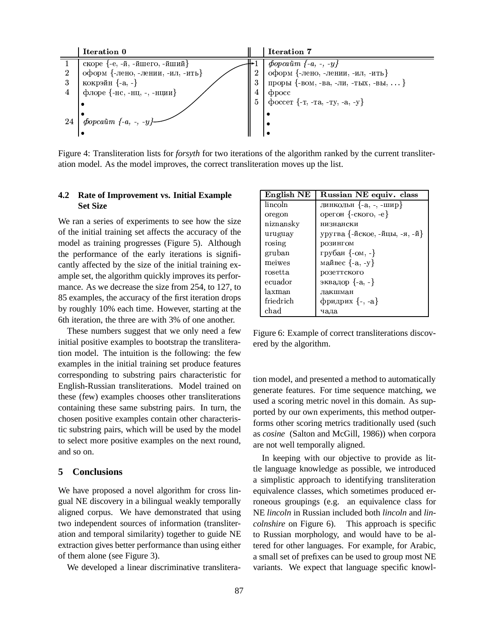

Figure 4: Transliteration lists for *forsyth* for two iterations of the algorithm ranked by the current transliteration model. As the model improves, the correct transliteration moves up the list.

## **4.2 Rate of Improvement vs. Initial Example Set Size**

We ran a series of experiments to see how the size of the initial training set affects the accuracy of the model as training progresses (Figure 5). Although the performance of the early iterations is significantly affected by the size of the initial training example set, the algorithm quickly improves its performance. As we decrease the size from 254, to 127, to 85 examples, the accuracy of the first iteration drops by roughly 10% each time. However, starting at the 6th iteration, the three are with 3% of one another.

These numbers suggest that we only need a few initial positive examples to bootstrap the transliteration model. The intuition is the following: the few examples in the initial training set produce features corresponding to substring pairs characteristic for English-Russian transliterations. Model trained on these (few) examples chooses other transliterations containing these same substring pairs. In turn, the chosen positive examples contain other characteristic substring pairs, which will be used by the model to select more positive examples on the next round, and so on.

#### **5 Conclusions**

We have proposed a novel algorithm for cross lingual NE discovery in a bilingual weakly temporally aligned corpus. We have demonstrated that using two independent sources of information (transliteration and temporal similarity) together to guide NE extraction gives better performance than using either of them alone (see Figure 3).

We developed a linear discriminative translitera-

| English NE          | Russian NE equiv. class       |
|---------------------|-------------------------------|
| lincoln             | линкольн $\{-a, -$ , -шир}    |
| oregon              | орегон {-ского, -е}           |
| niznansky           | низнански                     |
| uruguay             | уругва {-йское, -йцы, -я, -й} |
| rosing              | розингом                      |
| gruban              | грубан $\{-\text{OM}, -\}$    |
| meiwes              | майвес $\{-a, -y\}$           |
| rosetta             | розеттского                   |
| ecuador             | эквадор $\{-a, -\}$           |
| laxman              | лакшман                       |
| friedrich           | фридрих $\{-, -a\}$           |
| $\mathrm{chad}\,\,$ | чада                          |

Figure 6: Example of correct transliterations discovered by the algorithm.

tion model, and presented a method to automatically generate features. For time sequence matching, we used a scoring metric novel in this domain. As supported by our own experiments, this method outperforms other scoring metrics traditionally used (such as *cosine* (Salton and McGill, 1986)) when corpora are not well temporally aligned.

In keeping with our objective to provide as little language knowledge as possible, we introduced a simplistic approach to identifying transliteration equivalence classes, which sometimes produced erroneous groupings (e.g. an equivalence class for NE *lincoln* in Russian included both *lincoln* and *lincolnshire* on Figure 6). This approach is specific to Russian morphology, and would have to be altered for other languages. For example, for Arabic, a small set of prefixes can be used to group most NE variants. We expect that language specific knowl